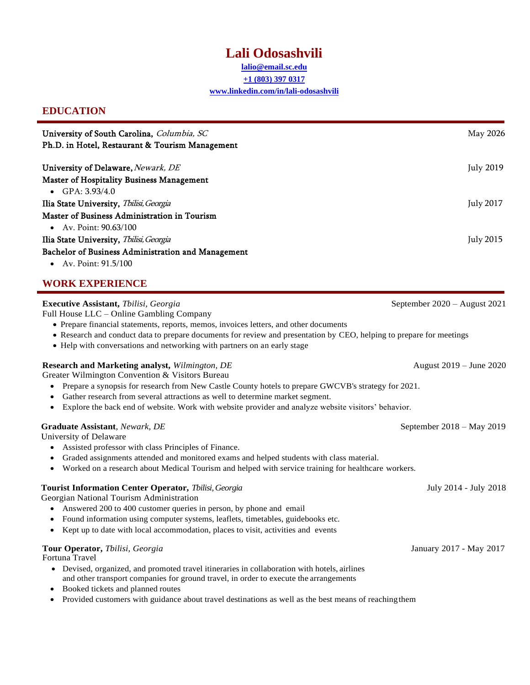# **Lali Odosashvili**

**lalio@email.sc.edu +1 (803) 397 0317 [www.linkedin.com/in/lali-odosashvili](http://www.linkedin.com/in/lali-odosashvili)**

## **EDUCATION**

| University of South Carolina, Columbia, SC<br>Ph.D. in Hotel, Restaurant & Tourism Management                                                                                                                                                                                                                                                                                                    | May 2026                     |
|--------------------------------------------------------------------------------------------------------------------------------------------------------------------------------------------------------------------------------------------------------------------------------------------------------------------------------------------------------------------------------------------------|------------------------------|
| University of Delaware, Newark, DE<br><b>Master of Hospitality Business Management</b><br>• $GPA: 3.93/4.0$                                                                                                                                                                                                                                                                                      | <b>July 2019</b>             |
| Ilia State University, Thilisi, Georgia<br>Master of Business Administration in Tourism<br>Av. Point: 90.63/100<br>$\bullet$                                                                                                                                                                                                                                                                     | <b>July 2017</b>             |
| Ilia State University, Thilisi, Georgia<br>Bachelor of Business Administration and Management<br>Av. Point: 91.5/100<br>$\bullet$                                                                                                                                                                                                                                                                | <b>July 2015</b>             |
| <b>WORK EXPERIENCE</b>                                                                                                                                                                                                                                                                                                                                                                           |                              |
| Executive Assistant, Thilisi, Georgia<br>Full House LLC - Online Gambling Company<br>• Prepare financial statements, reports, memos, invoices letters, and other documents<br>• Research and conduct data to prepare documents for review and presentation by CEO, helping to prepare for meetings<br>• Help with conversations and networking with partners on an early stage                   | September 2020 - August 2021 |
| Research and Marketing analyst, Wilmington, DE<br>Greater Wilmington Convention & Visitors Bureau<br>Prepare a synopsis for research from New Castle County hotels to prepare GWCVB's strategy for 2021.<br>Gather research from several attractions as well to determine market segment.<br>Explore the back end of website. Work with website provider and analyze website visitors' behavior. | August 2019 – June 2020      |
| Graduate Assistant, Newark, DE<br>University of Delaware<br>Assisted professor with class Principles of Finance.<br>Graded assignments attended and monitored exams and helped students with class material.<br>Worked on a research about Medical Tourism and helped with service training for healthcare workers.                                                                              | September 2018 – May 2019    |
| Tourist Information Center Operator, Tbilisi, Georgia<br>Georgian National Tourism Administration<br>Answered 200 to 400 customer queries in person, by phone and email<br>Found information using computer systems, leaflets, timetables, guidebooks etc.<br>Kept up to date with local accommodation, places to visit, activities and events<br>٠                                              | July 2014 - July 2018        |
| Tour Operator, Thilisi, Georgia<br>Fortuna Travel<br>• Devised, organized, and promoted travel itineraries in collaboration with hotels, airlines<br>and other transport companies for ground travel, in order to execute the arrangements<br>Booked tickets and planned routes<br>Provided customers with guidance about travel destinations as well as the best means of reaching them<br>٠    | January 2017 - May 2017      |
|                                                                                                                                                                                                                                                                                                                                                                                                  |                              |